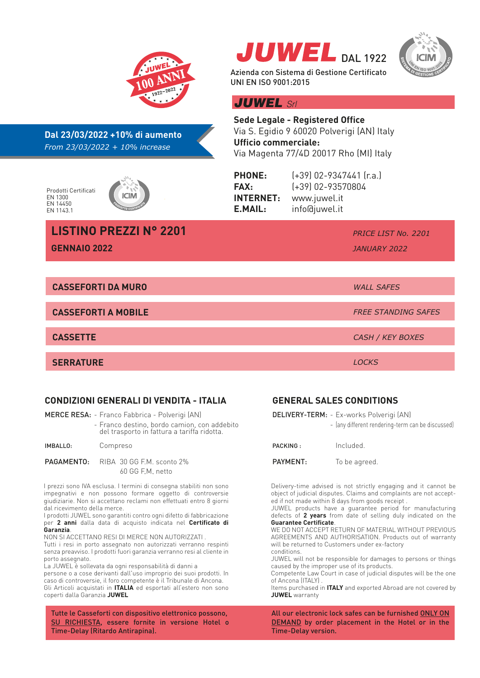

#### **CONDIZIONI GENERALI DI VENDITA - ITALIA**

MERCE RESA: - Franco Fabbrica - Polverigi (AN)

- Franco destino, bordo camion, con addebito del trasporto in fattura a tariffa ridotta.

#### IMBALLO: Compreso

PAGAMENTO: RIBA 30 GG F.M. sconto 2% 60 GG F.M. netto

I prezzi sono IVA esclusa. I termini di consegna stabiliti non sono impegnativi e non possono formare oggetto di controversie giudiziarie. Non si accettano reclami non effettuati entro 8 giorni dal ricevimento della merce.

I prodotti JUWEL sono garantiti contro ogni difetto di fabbricazione per **2 anni** dalla data di acquisto indicata nel **Certificato di Garanzia**.

NON SI ACCETTANO RESI DI MERCE NON AUTORIZZATI .

Tutti i resi in porto assegnato non autorizzati verranno respinti senza preavviso. I prodotti fuori garanzia verranno resi al cliente in porto assegnato.

La JUWEL è sollevata da ogni responsabilità di danni a persone o a cose derivanti dall'uso improprio dei suoi prodotti. In caso di controversie, il foro competente è il Tribunale di Ancona. Gli Articoli acquistati in **ITALIA** ed esportati all'estero non sono coperti dalla Garanzia **JUWEL**

Tutte le Casseforti con dispositivo elettronico possono, SU RICHIESTA, essere fornite in versione Hotel o Time-Delay (Ritardo Antirapina).

#### **GENERAL SALES CONDITIONS**

 $J$ UWEL DAL 1922

Azienda con Sistema di Gestione Certificato

|          | <b>DELIVERY-TERM:</b> - Ex-works Polverigi (AN)<br>- (any different rendering-term can be discussed) |
|----------|------------------------------------------------------------------------------------------------------|
| PACKING: | Included                                                                                             |
| PAYMENT: | To be agreed.                                                                                        |
|          |                                                                                                      |

Delivery-time advised is not strictly engaging and it cannot be object of judicial disputes. Claims and complaints are not accepted if not made within 8 days from goods receipt .

JUWEL products have a guarantee period for manufacturing defects of **2 years** from date of selling duly indicated on the **Guarantee Certificate**.

WE DO NOT ACCEPT RETURN OF MATERIAL WITHOUT PREVIOUS AGREEMENTS AND AUTHORISATION. Products out of warranty will be returned to Customers under ex-factory conditions.

JUWEL will not be responsible for damages to persons or things caused by the improper use of its products.

Competente Law Court in case of judicial disputes will be the one of Ancona (ITALY) .

Items purchased in **ITALY** and exported Abroad are not covered by **JUWEL** warranty

All our electronic lock safes can be furnished ONLY ON DEMAND by order placement in the Hotel or in the Time-Delay version.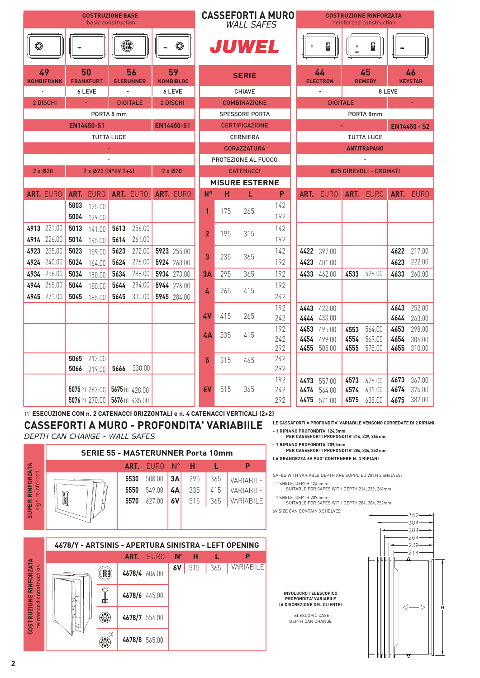|                         | <b>COSTRUZIONE BASE</b><br>basic construction |                           |                          |                        |  |                        |                |     | <b>WALL SAFES</b>     | <b>CASSEFORTI A MURO</b> | <b>COSTRUZIONE RINFORZATA</b><br>reinforced construction |                       |                 |                              |        |                      |
|-------------------------|-----------------------------------------------|---------------------------|--------------------------|------------------------|--|------------------------|----------------|-----|-----------------------|--------------------------|----------------------------------------------------------|-----------------------|-----------------|------------------------------|--------|----------------------|
| ۵                       |                                               |                           | (8)                      |                        |  | $\odot$                |                |     | <b>JUWEL</b>          |                          |                                                          |                       |                 | <b>Beech</b>                 |        |                      |
| 49<br><b>KOMBIFRANK</b> |                                               | 50<br><b>FRANKFURT</b>    |                          | 56<br><b>ELERUNNER</b> |  | 59<br><b>KOMBIBLOC</b> |                |     | <b>SERIE</b>          |                          |                                                          | 44<br><b>ELECTRON</b> |                 | 45<br><b>REMEDY</b>          |        | 46<br><b>KEYSTAR</b> |
| $\omega$                |                                               | 6 LEVE                    |                          | $\blacksquare$         |  | 6 LEVE                 |                |     | <b>CHIAVE</b>         |                          |                                                          |                       |                 |                              | 8 LEVE |                      |
| 2 DISCHI                |                                               |                           |                          | <b>DIGITALE</b>        |  | 2 DISCHI               |                |     | <b>COMBINAZIONE</b>   |                          |                                                          |                       | <b>DIGITALE</b> |                              |        |                      |
|                         |                                               |                           | PORTA 8 mm               |                        |  |                        |                |     | <b>SPESSORE PORTA</b> |                          |                                                          |                       |                 | PORTA 8mm                    |        |                      |
|                         |                                               | EN14450-S1                |                          |                        |  | EN14450-S1             |                |     | <b>CERTIFICAZIONE</b> |                          |                                                          |                       |                 |                              |        | <b>EN14450 - S2</b>  |
|                         |                                               |                           | <b>TUTTA LUCE</b>        |                        |  |                        |                |     | <b>CERNIERA</b>       |                          |                                                          |                       |                 | <b>TUTTA LUCE</b>            |        |                      |
|                         |                                               |                           | $\blacksquare$           |                        |  |                        |                |     | <b>CORAZZATURA</b>    |                          |                                                          |                       |                 | <b>ANTITRAPANO</b>           |        |                      |
|                         |                                               |                           | $\overline{\phantom{a}}$ |                        |  |                        |                |     | PROTEZIONE AL FUOCO   |                          |                                                          |                       |                 | $\qquad \qquad \blacksquare$ |        |                      |
| $2 \times 020$          |                                               | $2 \times 020$ (N°6V 2+4) |                          |                        |  | $2 \times 020$         |                |     | <b>CATENACCI</b>      |                          |                                                          |                       |                 | Ø25 GIREVOLI - CROMATI       |        |                      |
|                         |                                               |                           |                          |                        |  |                        |                |     | <b>MISURE ESTERNE</b> |                          |                                                          |                       |                 |                              |        |                      |
| ART. EURO               |                                               | ART. EURO                 |                          | ART. EURO              |  | ART. EURO              | $N^{\circ}$    | н   | L                     | P                        |                                                          | ART. EURO             |                 | ART. EURO                    |        | ART. EURO            |
|                         | 5003                                          | 125.00                    |                          |                        |  |                        | $\mathbf 1$    | 175 | 265                   | 142<br>192               |                                                          |                       |                 |                              |        |                      |
| 4913 221.00             | 5004<br>5013                                  | 129.00                    | 5613                     | 256.00                 |  |                        |                |     |                       | 142                      |                                                          |                       |                 |                              |        |                      |
| 4914 226.00             | 5014                                          | 141.00<br>145.00          | 5614                     | 261.00                 |  |                        | $\overline{2}$ | 195 | 315                   | 192                      |                                                          |                       |                 |                              |        |                      |
| 4923 235.00             | 5023                                          | 159.00                    | 5623                     | 272.00                 |  | 5923 255.00            |                |     |                       | 142                      |                                                          | 4422 397.00           |                 |                              | 4622   | 217.00               |
| 4924 240.00             | 5024                                          | 164.00                    | 5624                     | 276.00                 |  | 5924 260.00            | 3              | 235 | 365                   | 192                      |                                                          | 4423 401.00           |                 |                              | 4623   | 222.00               |
| 4934 256.00             | 5034                                          | 180.00                    | 5634                     | 288.00                 |  | 5934 273.00            | 3A             | 295 | 365                   | 192                      |                                                          | 4433 462.00           | 4533            | 528.00                       | 4633   | 260.00               |
| 4944 265.00             | 5044                                          | 180.00                    | 5644                     | 294.00                 |  | 5944 276.00            |                |     |                       | 192                      |                                                          |                       |                 |                              |        |                      |
| 4945 271.00             | 5045                                          | 185.00                    | 5645                     | 300.00                 |  | 5945 284.00            | 4              | 265 | 415                   | 242                      |                                                          |                       |                 |                              |        |                      |
|                         |                                               |                           |                          |                        |  |                        |                |     |                       | 192                      |                                                          | 4443 422.00           |                 |                              | 4643   | 252.00               |
|                         |                                               |                           |                          |                        |  |                        | 4٧             | 415 | 265                   | 242                      |                                                          | 4444 433.00           |                 |                              | 4644   | 263.00               |
|                         |                                               |                           |                          |                        |  |                        | 4А             | 335 | 415                   | 192                      |                                                          | 4453 495.00           | 4553            | 564.00                       | 4653   | 298.00               |
|                         |                                               |                           |                          |                        |  |                        |                |     |                       | 242                      |                                                          | 4454 499.00           | 4554            | 569.00                       | 4654   | 304.00               |
|                         | 5065                                          | 212.00                    |                          |                        |  |                        |                |     |                       | 292<br>242               |                                                          | 4455 505.00           | 4555            | 575.00                       | 4655   | 310.00               |
|                         | 5066                                          | 219.00                    | 5666                     | 330.00                 |  |                        | 5              | 315 | 465                   | 292                      |                                                          |                       |                 |                              |        |                      |
|                         |                                               |                           |                          |                        |  |                        |                |     |                       | 192                      |                                                          | 4473 557.00           | 4573            | 626.00                       | 4673   | 367.00               |
|                         |                                               | <b>5075</b> (1) 263.00    |                          | 5675 (1) 428.00        |  |                        | 6V             | 515 | 365                   | 242                      |                                                          | 4474 564.00           | 4574            | 631.00                       | 4674   | 374.00               |
|                         |                                               | 5076 (1) 270.00           |                          | 5676 (1) 435.00        |  |                        |                |     |                       | 292                      |                                                          | 4475 571.00           | 4575            | 638.00                       | 4675   | 382.00               |

(1) **ESECUZIONE CON n. 2 CATENACCI ORIZZONTALI e n. 4 CATENACCI VERTICALI (2+2)**

**CASSEFORTI A MURO - PROFONDITA' VARIABIILE** *DEPTH CAN CHANGE - WALL SAFES*





**LE CASSAFORTI A PROFONDITA' VARIABILE VENGONO CORREDATE DI 2 RIPIANI:**

- **- 1 RIPIANO PROFONDITA' 124,5mm PER CASSEFORTI PROFONDITA' 214, 239, 264 mm**
- **- 1 RIPIANO PROFONDITA' 209,5mm**

**PER CASSEFORTI PROFONDITA' 284, 304, 352 mm LA GRANDEZZA 6V PUO' CONTENERE N. 3 RIPIANI**

SAFES WITH VARIABLE DEPTH ARE SUPPLIED WITH 2 SHELVES:

- 1 SHELF, DEPTH 124,5mm SUITABLE FOR SAFES WITH DEPTH 214, 239, 264mm - 1 SHELF, DEPTH 209,5mm

SUITABLE FOR SAFES WITH DEPTH 284, 304, 352mm 6V SIZE CAN CONTAIN 3 SHELVES

**INVOLUCRO TELESCOPICO PROFONDITA' VARIABILE (A DISCREZIONE DEL CLIENTE)** TELESCOPIC CASE DEPTH CAN CHANGE



**2**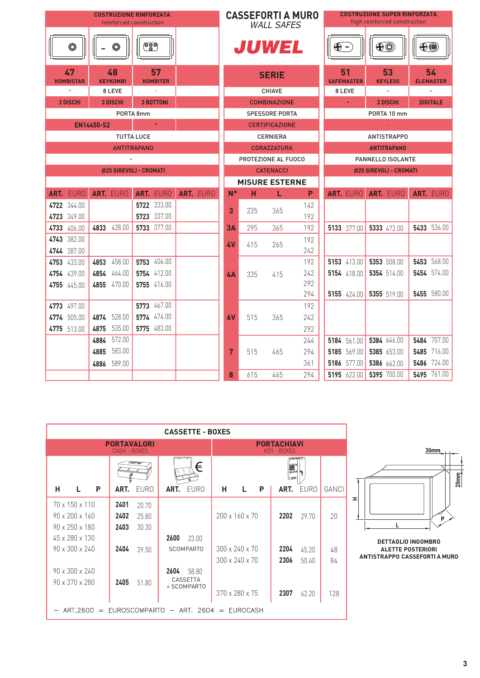|                        |                                             | <b>COSTRUZIONE RINFORZATA</b><br>reinforced construction |           |             |     | <b>CASSEFORTI A MURO</b><br><b>WALL SAFES</b> |            | <b>COSTRUZIONE SUPER RINFORZATA</b><br>high reinforced construction |                         |  |                        |             |                        |
|------------------------|---------------------------------------------|----------------------------------------------------------|-----------|-------------|-----|-----------------------------------------------|------------|---------------------------------------------------------------------|-------------------------|--|------------------------|-------------|------------------------|
| ۵                      | $\begin{pmatrix} 1 \\ 0 \\ 0 \end{pmatrix}$ | $^{\tiny\textregistered}$                                |           |             |     | JUWEL                                         |            | $\bigoplus$ -                                                       |                         |  | $\bigoplus$            | $\bigoplus$ |                        |
| 47<br><b>KOMBISTAR</b> | 48<br><b>KEYKOMBI</b>                       | 57<br><b>KOMBITER</b>                                    |           |             |     | <b>SERIE</b>                                  |            |                                                                     | 51<br><b>SAFEMASTER</b> |  | 53<br><b>KEYLESS</b>   |             | 54<br><b>ELEMASTER</b> |
| $\blacksquare$         | 8 LEVE                                      |                                                          |           |             |     | <b>CHIAVE</b>                                 |            |                                                                     | 8 LEVE                  |  | $\blacksquare$         |             | $\blacksquare$         |
| <b>3 DISCHI</b>        | <b>3 DISCHI</b>                             | <b>3 BOTTONI</b>                                         |           |             |     | <b>COMBINAZIONE</b>                           |            |                                                                     |                         |  | <b>3 DISCHI</b>        |             | <b>DIGITALE</b>        |
|                        |                                             | PORTA 8mm                                                |           |             |     | <b>SPESSORE PORTA</b>                         |            |                                                                     |                         |  | PORTA 10 mm            |             |                        |
|                        | <b>EN14450-S2</b>                           |                                                          |           |             |     | <b>CERTIFICAZIONE</b>                         |            |                                                                     |                         |  |                        |             |                        |
|                        |                                             | <b>TUTTA LUCE</b>                                        |           |             |     | <b>CERNIERA</b>                               |            |                                                                     |                         |  | <b>ANTISTRAPPO</b>     |             |                        |
|                        |                                             | <b>ANTITRAPANO</b>                                       |           |             |     | <b>CORAZZATURA</b>                            |            |                                                                     |                         |  | <b>ANTITRAPANO</b>     |             |                        |
|                        |                                             |                                                          |           |             |     | PROTEZIONE AL FUOCO                           |            |                                                                     |                         |  | PANNELLO ISOLANTE      |             |                        |
|                        |                                             | <b>Ø25 GIREVOLI - CROMATI</b>                            |           |             |     | <b>CATENACCI</b>                              |            |                                                                     |                         |  | Ø25 GIREVOLI - CROMATI |             |                        |
|                        |                                             |                                                          |           |             |     | <b>MISURE ESTERNE</b>                         |            |                                                                     |                         |  |                        |             |                        |
| ART. EURO              | ART. EURO                                   | ART. EURO                                                | ART. EURO | $N^{\circ}$ | н   | L                                             | P          |                                                                     | ART. EURO               |  | ART. EURO              |             | ART. EURO              |
| 4722 344.00            |                                             | 5722 333.00                                              |           | 3           | 235 | 365                                           | 142        |                                                                     |                         |  |                        |             |                        |
| 4723 349.00            |                                             | 5723 337.00                                              |           |             |     |                                               | 192        |                                                                     |                         |  |                        |             |                        |
| 4733 406.00            | 4833 428.00                                 | 5733 377.00                                              |           | 3A          | 295 | 365                                           | 192        |                                                                     | 5133 377.00             |  | 5333 472.00            |             | 5433 536.00            |
| 4743 382.00            |                                             |                                                          |           | 4V          | 415 | 265                                           | 192        |                                                                     |                         |  |                        |             |                        |
| 4744 387.00            |                                             |                                                          |           |             |     |                                               | 242        |                                                                     |                         |  |                        |             |                        |
| 4753 433.00            | 4853 458.00                                 | 5753 406.00                                              |           |             |     |                                               | 192        |                                                                     | 5153 413.00             |  | 5353 508.00            |             | 5453 568.00            |
| 4754 439.00            | 4854 464.00                                 | 5754 412.00                                              |           | 4A          | 335 | 415                                           | 242<br>292 |                                                                     | 5154 418.00             |  | 5354 514.00            |             | 5454 574.00            |
| 4755 445.00            | 4855 470.00                                 | 5755 416.00                                              |           |             |     |                                               | 294        |                                                                     | 5155 $424.00$           |  | 5355 519.00            |             | 5455 580.00            |
| 4773 497.00            |                                             | 5773 467.00                                              |           |             |     |                                               | 192        |                                                                     |                         |  |                        |             |                        |
| 4774 505.00            | 4874 528.00                                 | 5774 474.00                                              |           | 6V          | 515 | 365                                           | 242        |                                                                     |                         |  |                        |             |                        |
| 4775 513.00            | 4875 535.00                                 | 5775 483.00                                              |           |             |     |                                               | 292        |                                                                     |                         |  |                        |             |                        |
|                        | 4884 572.00                                 |                                                          |           |             |     |                                               | 244        |                                                                     | 5184 561.00             |  | 5384 646.00            |             | 5484 707.00            |
|                        | 4885 583.00                                 |                                                          |           | 7           | 515 | 465                                           | 294        |                                                                     | 5185 569.00             |  | 5385 653.00            |             | 5485 716.00            |
|                        | 589.00<br>4886                              |                                                          |           |             |     |                                               | 361        |                                                                     | 5186 577.00             |  | 5386 662.00            |             | 5486 724.00            |
|                        |                                             |                                                          |           | 8           | 615 | 465                                           | 294        |                                                                     | 5195 622.00             |  | 5395 700.00            |             | 5495 761.00            |

|                                                                                                                            |                                                                  | <b>CASSETTE - BOXES</b>                  |                                                    |                                                 |                |
|----------------------------------------------------------------------------------------------------------------------------|------------------------------------------------------------------|------------------------------------------|----------------------------------------------------|-------------------------------------------------|----------------|
|                                                                                                                            | <b>PORTAVALORI</b><br>CASH - BOXES                               |                                          |                                                    | <b>PORTACHIAVI</b><br>KFY - BOXFS               |                |
|                                                                                                                            |                                                                  | ⊨                                        |                                                    | $\overline{a}$<br>魙                             |                |
| н<br>P                                                                                                                     | <b>EURO</b><br>ART.                                              | EURO<br>ART.                             | н<br>L.<br>P                                       | <b>EURO</b><br>ART.                             | GANCI          |
| $70 \times 150 \times 110$<br>$90 \times 200 \times 160$<br>$90 \times 250 \times 180$<br>45 x 280 x 130<br>90 x 300 x 240 | 2401<br>20.70<br>2402<br>25.80<br>2403<br>30.30<br>2404<br>39.50 | 2600<br>23.00<br><b>SCOMPARTO</b>        | 200 x 160 x 70<br>300 x 240 x 70<br>300 x 240 x 70 | 2202<br>29.70<br>2204<br>45.20<br>2306<br>50.40 | 20<br>48<br>84 |
| 90 x 300 x 240<br>90 x 370 x 280<br>$-$ ART.2600 = EUROSCOMPARTO - ART. 2604 = EUROCASH                                    | 2405<br>51.80                                                    | 2604<br>58.80<br>CASSETTA<br>+ SCOMPARTO | 370 x 280 x 75                                     | 2307<br>62.20                                   | 128            |



**DETTAGLIO INGOMBRO ALETTE POSTERIORI ANTISTRAPPO CASSEFORTI A MURO**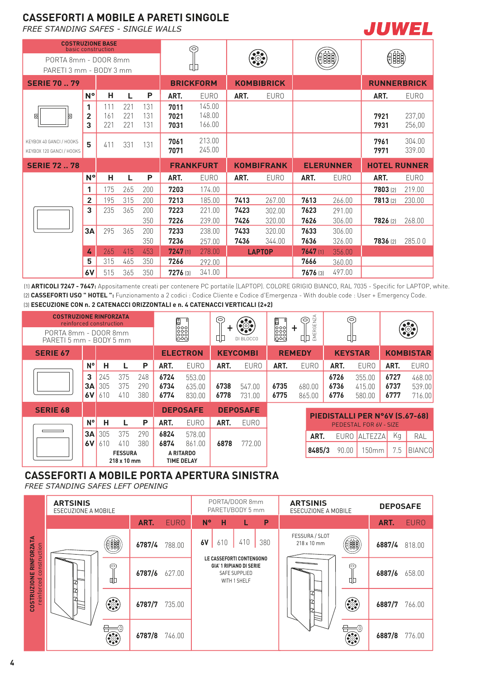## **CASSEFORTI A MOBILE A PARETI SINGOLE**

*FREE STANDING SAFES - SINGLE WALLS*

**COSTRUZIONE BASE**



|                                                     | basic construction<br>PORTA 8mm - DOOR 8mm<br>PARETI 3 mm - BODY 3 mm |                   |                   |                   | 6                    |                            |      |                       |          |                  |                     |                  |
|-----------------------------------------------------|-----------------------------------------------------------------------|-------------------|-------------------|-------------------|----------------------|----------------------------|------|-----------------------|----------|------------------|---------------------|------------------|
|                                                     |                                                                       |                   |                   |                   |                      |                            |      | $\bullet\odot\bullet$ |          | 器                |                     |                  |
|                                                     |                                                                       |                   |                   |                   | 따                    |                            |      |                       |          |                  |                     |                  |
| <b>SERIE 70  79</b>                                 |                                                                       |                   |                   |                   | <b>BRICKFORM</b>     |                            |      | <b>KOMBIBRICK</b>     |          |                  | <b>RUNNERBRICK</b>  |                  |
|                                                     | $N^{\circ}$                                                           | н                 | L                 | P                 | ART.                 | <b>EURO</b>                | ART. | <b>EURO</b>           |          |                  | ART.                | <b>EURO</b>      |
| ▣<br>$\circ$                                        | 1<br>2<br>3                                                           | 111<br>161<br>221 | 221<br>221<br>221 | 131<br>131<br>131 | 7011<br>7021<br>7031 | 145.00<br>148.00<br>166.00 |      |                       |          |                  | 7921<br>7931        | 237,00<br>256,00 |
| KEYBOX 40 GANCI / HOOKS<br>KEYBOX 120 GANCI / HOOKS | 5                                                                     | 411               | 331               | 131               | 7061<br>7071         | 213.00<br>245.00           |      |                       |          |                  | 7961<br>7971        | 304.00<br>339.00 |
| <b>SERIE 7278</b>                                   |                                                                       |                   |                   |                   | <b>FRANKFURT</b>     |                            |      | <b>KOMBIFRANK</b>     |          | <b>ELERUNNER</b> | <b>HOTEL RUNNER</b> |                  |
|                                                     | $N^{\circ}$                                                           | н                 | L                 | P                 | ART.                 | <b>EURO</b>                | ART. | <b>EURO</b>           | ART.     | <b>EURO</b>      | ART.                | <b>EURO</b>      |
|                                                     | 1                                                                     | 175               | 265               | 200               | 7203                 | 174.00                     |      |                       |          |                  | 7803 (2)            | 219.00           |
|                                                     | 2                                                                     | 195               | 315               | 200               | 7213                 | 185.00                     | 7413 | 267.00                | 7613     | 266.00           | 7813 [2]            | 230.00           |
|                                                     | 3                                                                     | 235               | 365               | 200               | 7223                 | 221.00                     | 7423 | 302.00                | 7623     | 291.00           |                     |                  |
|                                                     |                                                                       |                   |                   | 350               | 7226                 | 239.00                     | 7426 | 320.00                | 7626     | 306.00           | 7826 (2)            | 268.00           |
|                                                     | 3A                                                                    | 295               | 365               | 200               | 7233                 | 238.00                     | 7433 | 320.00                | 7633     | 306.00           |                     |                  |
|                                                     |                                                                       |                   |                   | 350               | 7236                 | 257.00                     | 7436 | 344.00                | 7636     | 326.00           | 7836 (2)            | 285.00           |
|                                                     | 4                                                                     | 265               | 415               | 453               | 7247(1)              | 278.00                     |      | <b>LAPTOP</b>         | 7647(1)  | 356.00           |                     |                  |
|                                                     | 5                                                                     | 315               | 465               | 350               | 7266                 | 292.00                     |      |                       | 7666     | 360.00           |                     |                  |
|                                                     | 6V                                                                    | 515               | 365               | 350               | 7276 (3)             | 341.00                     |      |                       | 7676 [3] | 497.00           |                     |                  |

T

(1) **ARTICOLI 7247 - 7647:** Appositamente creati per contenere PC portatile (LAPTOP). COLORE GRIGIO BIANCO, RAL 7035 - Specific for LAPTOP, white. (2) **CASSEFORTI USO " HOTEL ":** Funzionamento a 2 codici : Codice Cliente e Codice d'Emergenza - With double code : User + Emergency Code. (3) **ESECUZIONE CON n. 2 CATENACCI ORIZZONTALI e n. 4 CATENACCI VERTICALI (2+2)**

| <b>COSTRUZIONE RINFORZATA</b><br>reinforced construction |               |                   |                       |                   |                      | 0000000<br>00000<br>00000  | ি            | $\odot$          | 0000<br>0000<br>0000<br>000 | ERGENZA<br>6<br>٠ | ᅙ                    |                                |                      | $\ddot{\bullet}$           |
|----------------------------------------------------------|---------------|-------------------|-----------------------|-------------------|----------------------|----------------------------|--------------|------------------|-----------------------------|-------------------|----------------------|--------------------------------|----------------------|----------------------------|
| PORTA 8mm - DOOR 8mm<br>PARETI 5 mm - BODY 5 mm          |               |                   |                       |                   |                      |                            | ЦÞ           | DI BLOCCO        |                             | Ē<br>땨            | 叩                    |                                |                      |                            |
| <b>SERIE 67</b>                                          |               |                   |                       |                   |                      | <b>ELECTRON</b>            |              | <b>KEYCOMBI</b>  |                             | <b>REMEDY</b>     | <b>KEYSTAR</b>       |                                |                      | <b>KOMBISTAR</b>           |
|                                                          | N°            | н                 |                       | P                 | ART.                 | <b>EURO</b>                | ART.         | <b>EURO</b>      | ART.                        | <b>EURO</b>       | ART.                 | <b>EURO</b>                    | ART.                 | <b>EURO</b>                |
|                                                          | 3<br>3A<br>6V | 245<br>305<br>610 | 375<br>375<br>410     | 248<br>290<br>380 | 6724<br>6734<br>6774 | 553.00<br>635.00<br>830.00 | 6738<br>6778 | 547.00<br>731.00 | 6735<br>6775                | 680.00<br>865.00  | 6726<br>6736<br>6776 | 355.00<br>415.00<br>580.00     | 6727<br>6737<br>6777 | 468.00<br>539.00<br>716.00 |
| <b>SERIE 68</b>                                          |               |                   |                       |                   |                      | <b>DEPOSAFE</b>            |              | <b>DEPOSAFE</b>  |                             |                   |                      | PIEDISTALLI PER N°6V (S.67-68) |                      |                            |
|                                                          | N°            | н                 |                       | P                 | ART.                 | EUR <sub>0</sub>           | ART.         | <b>EURO</b>      |                             |                   |                      | PEDESTAL FOR 6V - SIZE         |                      |                            |
|                                                          | 3A            | 305               | 375                   | 290               | 6824                 | 578.00                     |              |                  |                             | ART.              | <b>EURO</b>          | <b>ALTEZZA</b>                 | Ka                   | RAL                        |
|                                                          | 6V            | 610               | 410<br><b>FESSURA</b> | 380               | 6874                 | 861.00<br>A RITARDO        | 6878         | 772.00           |                             | 8485/3            | 90.00                | 150mm                          | 7.5                  | <b>BIANCO</b>              |
|                                                          |               |                   | 218 x 10 mm           |                   |                      | <b>TIME DELAY</b>          |              |                  |                             |                   |                      |                                |                      |                            |

### **CASSEFORTI A MOBILE PORTA APERTURA SINISTRA**

*FREE STANDING SAFES LEFT OPENING*

|                                        | <b>ARTSINIS</b><br>ESECUZIONE A MOBILE |                |               |             |             | PORTA/DOOR 8mm<br>PARETI/BODY 5 mm                  |                               |     | <b>ARTSINIS</b><br>ESECUZIONE A MOBILE |                        | <b>DEPOSAFE</b> |             |
|----------------------------------------|----------------------------------------|----------------|---------------|-------------|-------------|-----------------------------------------------------|-------------------------------|-----|----------------------------------------|------------------------|-----------------|-------------|
|                                        |                                        |                | ART.          | <b>EURO</b> | $N^{\circ}$ | н                                                   | L                             | P   |                                        |                        | ART.            | <b>EURO</b> |
|                                        |                                        | Ê              | 6787/4        | 788.00      | 6V          | 610                                                 | 410                           | 380 | FESSURA / SLOT<br>218 x 10 mm          |                        | 6887/4 818.00   |             |
| COSTRUZIONE RINFORZATA<br>construction | ⊝<br>吅                                 |                | 6787/6 627.00 |             |             | LE CASSEFORTI CONTENGONO<br>GIA' 1 RIPIANO DI SERIE | SAFE SUPPLIED<br>WITH 1 SHELF |     |                                        | ⊝<br>따                 | 6887/6          | 658.00      |
| reinforced                             |                                        | ۲              | 6787/7        | 735.00      |             |                                                     |                               |     | 7<br>r                                 | ۲                      | 6887/7          | 766.00      |
|                                        |                                        | (0)<br>$\odot$ | 6787/8        | 746.00      |             |                                                     |                               |     |                                        | $\widehat{\mathbb{C}}$ | 6887/8          | 776.00      |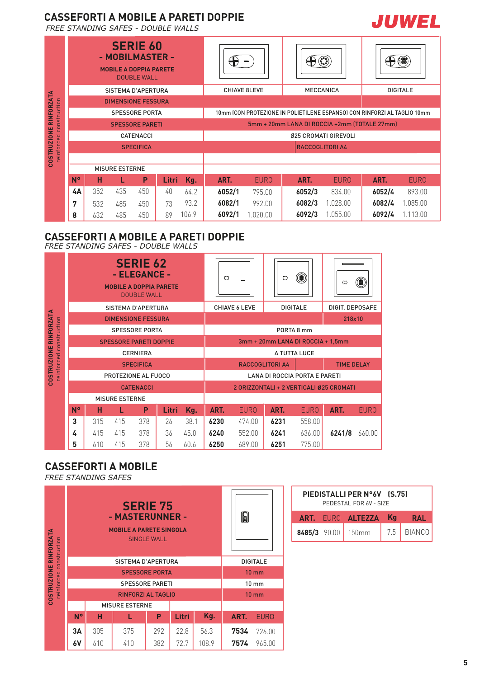### **CASSEFORTI A MOBILE A PARETI DOPPIE**

*FREE STANDING SAFES - DOUBLE WALLS*

|                               |    |     |                       | <b>SERIE 60</b><br>- MOBILMASTER -<br><b>MOBILE A DOPPIA PARETE</b><br><b>DOUBLE WALL</b> |       |       |        |                     |                                                                          |                      |        |                 |
|-------------------------------|----|-----|-----------------------|-------------------------------------------------------------------------------------------|-------|-------|--------|---------------------|--------------------------------------------------------------------------|----------------------|--------|-----------------|
|                               |    |     |                       | SISTEMA D'APERTURA                                                                        |       |       |        | <b>CHIAVE 8LEVE</b> | <b>MECCANICA</b>                                                         |                      |        | <b>DIGITALE</b> |
| <b>COSTRUZIONE RINFORZATA</b> |    |     |                       | <b>DIMENSIONE FESSURA</b>                                                                 |       |       |        |                     |                                                                          |                      |        |                 |
| construction                  |    |     |                       | <b>SPESSORE PORTA</b>                                                                     |       |       |        |                     | 10mm (CON PROTEZIONE IN POLIETILENE ESPANSO) CON RINFORZI AL TAGLIO 10mm |                      |        |                 |
|                               |    |     |                       | <b>SPESSORE PARETI</b>                                                                    |       |       |        |                     | 5mm + 20mm LANA DI ROCCIA +2mm (TOTALE 27mm)                             |                      |        |                 |
|                               |    |     |                       | <b>CATENACCI</b>                                                                          |       |       |        |                     |                                                                          | 025 CROMATI GIREVOLI |        |                 |
| reinforced                    |    |     |                       | <b>SPECIFICA</b>                                                                          |       |       |        |                     | <b>RACCOGLITORI A4</b>                                                   |                      |        |                 |
|                               |    |     |                       |                                                                                           |       |       |        |                     |                                                                          |                      |        |                 |
|                               |    |     | <b>MISURE ESTERNE</b> |                                                                                           |       |       |        |                     |                                                                          |                      |        |                 |
|                               | N° | н   | L                     | P                                                                                         | Litri | Kg.   | ART.   | <b>EURO</b>         | ART.                                                                     | <b>EURO</b>          | ART.   | <b>EURO</b>     |
|                               | 4A | 352 | 435                   | 450                                                                                       | 40    | 64.2  | 6052/1 | 795.00              | 6052/3                                                                   | 834.00               | 6052/4 | 893.00          |
|                               | 7  | 532 | 485                   | 450                                                                                       | 73    | 93.2  | 6082/1 | 992.00              | 6082/3                                                                   | 1.028.00             | 6082/4 | 1.085.00        |
|                               | 8  | 632 | 485                   | 450                                                                                       | 89    | 106.9 | 6092/1 | 1.020.00            | 6092/3                                                                   | 1.055.00             | 6092/4 | 1.113.00        |

## **CASSEFORTI A MOBILE A PARETI DOPPIE**

*FREE STANDING SAFES - DOUBLE WALLS*

|                         |           |                       |     | <b>SERIE 62</b><br>- ELEGANCE -<br><b>MOBILE A DOPPIA PARETE</b><br><b>DOUBLE WALL</b> |       |      | $\circ$                                     |                      | $\circ$                           | 0           | $\circ$                                 | 0           |  |  |
|-------------------------|-----------|-----------------------|-----|----------------------------------------------------------------------------------------|-------|------|---------------------------------------------|----------------------|-----------------------------------|-------------|-----------------------------------------|-------------|--|--|
|                         |           |                       |     | <b>SISTEMA D'APERTURA</b>                                                              |       |      |                                             | <b>CHIAVE 6 LEVE</b> | <b>DIGITALE</b>                   |             | DIGIT. DEPOSAFE                         |             |  |  |
| COSTRUZIONE RINFORZATA  |           |                       |     | <b>DIMENSIONE FESSURA</b>                                                              |       |      |                                             |                      |                                   |             | 218x10                                  |             |  |  |
| reinforced construction |           |                       |     | <b>SPESSORE PORTA</b>                                                                  |       |      |                                             | PORTA 8 mm           |                                   |             |                                         |             |  |  |
|                         |           |                       |     | <b>SPESSORE PARETI DOPPIE</b>                                                          |       |      |                                             |                      | 3mm + 20mm LANA DI ROCCIA + 1,5mm |             |                                         |             |  |  |
|                         |           |                       |     | <b>CERNIERA</b>                                                                        |       |      |                                             | A TUTTA LUCE         |                                   |             |                                         |             |  |  |
|                         |           | <b>SPECIFICA</b>      |     |                                                                                        |       |      | <b>RACCOGLITORI A4</b><br><b>TIME DELAY</b> |                      |                                   |             |                                         |             |  |  |
|                         |           |                       |     | PROTEZIONE AL FUOCO                                                                    |       |      | <b>LANA DI ROCCIA PORTA E PARETI</b>        |                      |                                   |             |                                         |             |  |  |
|                         |           |                       |     | <b>CATENACCI</b>                                                                       |       |      |                                             |                      |                                   |             | 2 ORIZZONTALI + 2 VERTICALI Ø25 CROMATI |             |  |  |
|                         |           | <b>MISURE ESTERNE</b> |     |                                                                                        |       |      |                                             |                      |                                   |             |                                         |             |  |  |
|                         | <b>N°</b> | н                     |     | P                                                                                      | Litri | Kg.  | ART.                                        | <b>EURO</b>          | ART.                              | <b>EURO</b> | ART.                                    | <b>EURO</b> |  |  |
|                         | 3         | 315                   | 415 | 378                                                                                    | 26    | 38.1 | 6230                                        | 474.00               | 6231                              | 558.00      |                                         |             |  |  |
|                         | 4         | 415                   | 415 | 378                                                                                    | 36    | 45.0 | 6240                                        | 552.00               | 6241                              | 636.00      | 6241/8                                  | 660.00      |  |  |
|                         | 5         | 610                   | 415 | 378                                                                                    | 56    | 60.6 | 6250                                        | 689.00               | 6251                              | 775.00      |                                         |             |  |  |

#### **CASSEFORTI A MOBILE**

*FREE STANDING SAFES*

| COSTRUZIONE RINFORZATA<br>nstruction |           |     | <b>SERIE 75</b><br>- MASTERUNNER -<br><b>MOBILE A PARETE SINGOLA</b> | <b>SINGLE WALL</b> |      |                 | 8888 |                 |
|--------------------------------------|-----------|-----|----------------------------------------------------------------------|--------------------|------|-----------------|------|-----------------|
|                                      |           |     | SISTEMA D'APERTURA                                                   |                    |      | <b>DIGITALE</b> |      |                 |
| reinforced co                        |           |     | <b>SPESSORE PORTA</b>                                                |                    |      | $10 \text{ mm}$ |      |                 |
|                                      |           |     | <b>SPESSORE PARETI</b>                                               |                    |      |                 |      | 10 mm           |
|                                      |           |     | <b>RINFORZI AL TAGLIO</b>                                            |                    |      |                 |      | $10 \text{ mm}$ |
|                                      |           |     | <b>MISURE ESTERNE</b>                                                |                    |      |                 |      |                 |
|                                      | <b>N°</b> | н   |                                                                      | Kg.                | ART. | <b>EURO</b>     |      |                 |
|                                      | ЗΑ        | 305 | 375                                                                  | 56.3               | 7534 | 726.00          |      |                 |
|                                      | 6٧        | 610 | 410                                                                  | 108.9              | 7574 | 965.00          |      |                 |

|  | PIEDISTALLI PER N°6V (S.75)<br>PEDESTAL FOR 6V - SIZE |     |            |
|--|-------------------------------------------------------|-----|------------|
|  | <b>ART. EURO ALTEZZA Kg</b>                           |     | <b>RAL</b> |
|  | 8485/3 90.00 150mm                                    | 7.5 | BIANCO     |

ŕ

**JUWEL**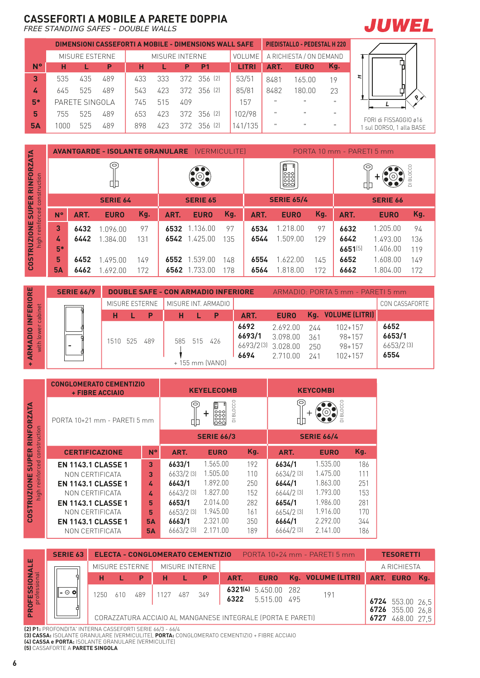# **CASSEFORTI A MOBILE A PARETE DOPPIA**

*FREE STANDING SAFES - DOUBLE WALLS*



|           |      |                |     |     |                |     | DIMENSIONI CASSEFORTI A MOBILE - DIMENSIONS WALL SAFE |              |              | <b>PIEDISTALLO - PEDESTAL H 220</b> |              |   |
|-----------|------|----------------|-----|-----|----------------|-----|-------------------------------------------------------|--------------|--------------|-------------------------------------|--------------|---|
|           |      | MISURE ESTERNE |     |     | MISURE INTERNE |     |                                                       | VOLUME       |              | A RICHIESTA / ON DEMAND             |              |   |
| <b>N°</b> | н    |                | P   | н   |                | P   | P <sub>1</sub>                                        | <b>LITRI</b> | ART.         | <b>EURO</b>                         | Kg.          |   |
| 3         | 535  | 435            | 489 | 433 | 333            |     | $372$ $356$ (2)                                       | 53/51        | 8481         | 165.00                              | 19           | r |
| 4         | 645  | 525            | 489 | 543 | 423            |     | 372 356 (2)                                           | 85/81        | 8482         | 180.00                              | 23           |   |
| $5*$      |      | PARETE SINGOLA |     | 745 | 515            | 409 |                                                       | 157          | 11.          | $\mathbf{H}$                        | $\mathbf{H}$ |   |
| 5         | 755  | 525            | 489 | 653 | 423            |     | 372 356 (2)                                           | 102/98       | $\mathbf{u}$ | $\mathbf{H}$                        | $\mathbf{H}$ |   |
| <b>5A</b> | 1000 | 525            | 489 | 898 | 423            |     | 372 356 (2)                                           | 141/135      | $\mathbf{H}$ | $\mathbf{H}$                        | $\mathbf{H}$ |   |



FORI di FISSAGGIO ø16 1 sul DORSO, 1 alla BASE

|                               |           |      | <b>AVANTGARDE - ISOLANTE GRANULARE</b> |     |      | [VERMICULITE]           |     |      |                        |     | PORTA 10 mm - PARETI 5 mm |                 |                          |
|-------------------------------|-----------|------|----------------------------------------|-----|------|-------------------------|-----|------|------------------------|-----|---------------------------|-----------------|--------------------------|
| <b>RINFORZATA</b><br>truction |           |      | S<br>땨                                 |     |      | $\odot_\bullet^\bullet$ |     |      | $\frac{100000}{00000}$ |     |                           | Ō               | $\overline{\phantom{0}}$ |
| cons<br><b>SUPER</b>          |           |      | <b>SERIE 64</b>                        |     |      | <b>SERIE 65</b>         |     |      | <b>SERIE 65/4</b>      |     |                           | <b>SERIE 66</b> |                          |
| rced                          | N°        | ART. | <b>EURO</b>                            | Kg. | ART. | <b>EURO</b>             | Kg. | ART. | <b>EURO</b>            | Kg. | ART.                      | <b>EURO</b>     | Kg.                      |
| reinfor<br><b>COSTRUZIONE</b> | 3         | 6432 | .096.00                                | 97  | 6532 | 1.136.00                | 97  | 6534 | 1.218.00               | 97  | 6632                      | 1.205.00        | 94                       |
| high                          | 4         | 6442 | 1.384.00                               | 131 | 6542 | 1.425.00                | 135 | 6544 | 1.509.00               | 129 | 6642                      | 1.493.00        | 136                      |
|                               | $5*$      |      |                                        |     |      |                         |     |      |                        |     | 6651[5]                   | 1.406.00        | 119                      |
|                               | 5         | 6452 | 1.495.00                               | 149 | 6552 | 1.539.00                | 148 | 6554 | 1.622.00               | 145 | 6652                      | 1.608.00        | 149                      |
|                               | <b>5A</b> | 6462 | 1.692.00                               | 172 | 6562 | 1.733.00                | 178 | 6564 | 1.818.00               | 172 | 6662                      | 1.804.00        | 172                      |

|                                                                         | <b>SERIE 66/9</b> |       |     |                |     | <b>DOUBLE SAFE - CON ARMADIO INFERIORE</b> |                                              |                              |                          | ARMADIO: PORTA 5 mm - PARETI 5 mm                  |                                     |
|-------------------------------------------------------------------------|-------------------|-------|-----|----------------|-----|--------------------------------------------|----------------------------------------------|------------------------------|--------------------------|----------------------------------------------------|-------------------------------------|
| ERIORE                                                                  |                   |       |     | MISURE ESTERNE |     | MISURE INT. ARMADIO                        |                                              |                              |                          |                                                    | CON CASSAFORTE                      |
| cabinet<br>E,                                                           |                   | н     |     | P              | н   | $\mathsf{P}$                               | ART.                                         | <b>EURO</b>                  |                          | Kg. VOLUME (LITRI)                                 |                                     |
| DIO<br>we<br>$\overline{M}$<br>$\overline{\mathsf{with}}$<br><b>ARI</b> |                   | 1510. | 525 | 489            | 585 | 515 426<br>+155 mm (VANO)                  | 6692<br>6693/1<br>6693/2(3) 3.028.00<br>6694 | 269200<br>3.098.00<br>271000 | 244<br>361<br>250<br>241 | $102 + 157$<br>98+157<br>$98 + 157$<br>$102 + 157$ | 6652<br>6653/1<br>6653/2[3]<br>6554 |

| SUPER RINFO                                        |                   |              | dþ                                                                                                                                                                                           |                                                      |                                                                                                | (O)                                                                                          |                                                                |                                                      | စီစီစီ<br>မြီးစီ                                                                                 |                                                                                              |                                                                              | Ф                                 |
|----------------------------------------------------|-------------------|--------------|----------------------------------------------------------------------------------------------------------------------------------------------------------------------------------------------|------------------------------------------------------|------------------------------------------------------------------------------------------------|----------------------------------------------------------------------------------------------|----------------------------------------------------------------|------------------------------------------------------|--------------------------------------------------------------------------------------------------|----------------------------------------------------------------------------------------------|------------------------------------------------------------------------------|-----------------------------------|
|                                                    |                   |              | <b>SERIE 64</b>                                                                                                                                                                              |                                                      |                                                                                                | <b>SERIE 65</b>                                                                              |                                                                |                                                      | <b>SERIE 65/4</b>                                                                                |                                                                                              |                                                                              | S                                 |
|                                                    | <b>N°</b>         | ART.         | <b>EURO</b>                                                                                                                                                                                  | Kg.                                                  | ART.                                                                                           | <b>EURO</b>                                                                                  | Kg.                                                            | ART.                                                 | <b>EURO</b>                                                                                      | Kg.                                                                                          | ART.                                                                         |                                   |
| high reinforced construction<br><b>COSTRUZIONE</b> | 3<br>4<br>$5*$    | 6432<br>6442 | 1.096.00<br>1.384.00                                                                                                                                                                         | 97<br>131                                            | 6532                                                                                           | 1.136.00<br>6542 1.425.00                                                                    | 97<br>135                                                      | 6534<br>6544                                         | 1.218.00<br>1.509.00                                                                             | 97<br>129                                                                                    | 6632<br>6642<br>6651[5]                                                      | 1<br>$\mathbf{1}$<br>$\mathbf{1}$ |
|                                                    | 5<br><b>5A</b>    | 6452<br>6462 | 1.495.00<br>1.692.00                                                                                                                                                                         | 149<br>172                                           |                                                                                                | 6552 1.539.00<br>6562 1.733.00                                                               | 148<br>178                                                     | 6554<br>6564                                         | 1.622.00<br>1.818.00                                                                             | 145<br>172                                                                                   | 6652<br>6662                                                                 | $\mathbf{1}$<br>1                 |
|                                                    | <b>SERIE 66/9</b> |              |                                                                                                                                                                                              |                                                      |                                                                                                | <b>DOUBLE SAFE - CON ARMADIO INFERIORE</b>                                                   |                                                                |                                                      | ARMADIO: PORTA 5 mm - PARI                                                                       |                                                                                              |                                                                              |                                   |
|                                                    |                   |              | MISURE ESTERNE                                                                                                                                                                               |                                                      |                                                                                                | MISURE INT. ARMADIO                                                                          |                                                                |                                                      |                                                                                                  |                                                                                              |                                                                              |                                   |
| + ARMADIO INFERIORE<br>with lower cabinet          |                   |              | н<br>1510 525                                                                                                                                                                                | L.<br>P<br>489                                       | H<br>585                                                                                       | L.<br>P<br>515<br>426<br>+155 mm (VANO)                                                      |                                                                | ART.<br>6692<br>6693/1<br>6693/2[3]<br>6694          | <b>EURO</b><br>2.692.00<br>3.098.00<br>3.028.00<br>2.710.00                                      | 244<br>361<br>250<br>241                                                                     | Kg. VOLUME (LITRI)<br>$102 + 157$<br>$98 + 157$<br>$98 + 157$<br>$102 + 157$ |                                   |
|                                                    |                   |              | <b>CONGLOMERATO CEMENTIZIO</b><br>+ FIBRE ACCIAIO                                                                                                                                            |                                                      |                                                                                                | <b>KEYELECOMB</b>                                                                            |                                                                |                                                      |                                                                                                  | <b>KEYCOMBI</b>                                                                              |                                                                              |                                   |
| <b>SUPER RINFORZATA</b>                            |                   |              | PORTA 10+21 mm - PARETI 5 mm                                                                                                                                                                 |                                                      |                                                                                                | (O)<br>٠<br>叩                                                                                | <b>BLOCCO</b><br>00000<br>0000<br>0000<br>$\overline{\square}$ |                                                      | 0                                                                                                | O                                                                                            | <b>BLOCCO</b><br>$\overline{\Omega}$                                         |                                   |
|                                                    |                   |              |                                                                                                                                                                                              |                                                      |                                                                                                | <b>SERIE 66/3</b>                                                                            |                                                                |                                                      |                                                                                                  | <b>SERIE 66/4</b>                                                                            |                                                                              |                                   |
|                                                    |                   |              | <b>CERTIFICAZIONE</b>                                                                                                                                                                        | <b>N°</b>                                            | ART.                                                                                           | <b>EURO</b>                                                                                  |                                                                | Kg.                                                  | ART.                                                                                             | <b>EURO</b>                                                                                  | Kg.                                                                          |                                   |
| high reinforced construction<br><b>COSTRUZIONE</b> |                   |              | <b>EN 1143.1 CLASSE 1</b><br>NON CERTIFICATA<br><b>EN 1143.1 CLASSE 1</b><br>NON CERTIFICATA<br><b>EN 1143.1 CLASSE 1</b><br>NON CERTIFICATA<br><b>EN 1143.1 CLASSE 1</b><br>NON CERTIFICATA | 3<br>3<br>4<br>4<br>5<br>5<br><b>5A</b><br><b>5A</b> | 6633/1<br>6633/2 [3]<br>6643/1<br>6643/2 [3]<br>6653/1<br>6653/2 [3]<br>6663/1<br>$6663/2$ [3] | 1.565.00<br>1.505.00<br>1.892.00<br>1.827.00<br>2.014.00<br>1.945.00<br>2.321.00<br>2.171.00 |                                                                | 192<br>110<br>250<br>152<br>282<br>161<br>350<br>189 | 6634/1<br>6634/2 [3]<br>6644/1<br>$6644/2$ [3]<br>6654/1<br>6654/2 [3]<br>6664/1<br>$6664/2$ [3] | 1.535.00<br>1.475.00<br>1.863.00<br>1.793.00<br>1.986.00<br>1.916.00<br>2.292.00<br>2.141.00 | 111<br>251<br>281                                                            | 186<br>153<br>170<br>344<br>186   |
|                                                    | <b>SERIE 63</b>   |              | ELECTA - CONGLOMERATO CEMENTIZIO                                                                                                                                                             |                                                      |                                                                                                |                                                                                              |                                                                |                                                      | PORTA 10+24 mm - PARETI 5 mm                                                                     |                                                                                              |                                                                              |                                   |
|                                                    | ¢                 |              | MISURE ESTERNE<br>н<br>L                                                                                                                                                                     | P                                                    | н                                                                                              | MISURE INTERNE<br>P<br>L                                                                     | ART.                                                           | <b>EURO</b>                                          |                                                                                                  | Kg. VOLUME (LITRI)                                                                           |                                                                              | Al                                |
| PROFESSIONALE<br>professional                      | - 0 0             |              | 1250<br>610                                                                                                                                                                                  | 489                                                  | 1127<br>487                                                                                    | 349                                                                                          | 6322                                                           | 6321(4) 5.450.00<br>5.515.00                         | 282<br>495                                                                                       | 191                                                                                          |                                                                              | 67<br>67                          |
|                                                    |                   |              |                                                                                                                                                                                              |                                                      |                                                                                                |                                                                                              |                                                                |                                                      |                                                                                                  |                                                                                              |                                                                              |                                   |

|                           | <b>SERIE 63</b>                                                                                                                                                                                                                                                                                                                    |       |     |                |      |     | ELECTA - CONGLOMERATO CEMENTIZIO |      |                                                             | PORTA 10+24 mm - PARETI 5 mm |      | <b>TESORETTI</b>                 |       |
|---------------------------|------------------------------------------------------------------------------------------------------------------------------------------------------------------------------------------------------------------------------------------------------------------------------------------------------------------------------------|-------|-----|----------------|------|-----|----------------------------------|------|-------------------------------------------------------------|------------------------------|------|----------------------------------|-------|
| <b>ALE</b>                |                                                                                                                                                                                                                                                                                                                                    |       |     | MISURE ESTERNE |      |     | MISURE INTERNE                   |      |                                                             |                              |      | A RICHIESTA                      |       |
| <b>NO</b>                 |                                                                                                                                                                                                                                                                                                                                    |       |     | P              |      |     | - P                              | ART. | <b>EURO</b>                                                 | Kg. VOLUME (LITRI)           |      | ART. EURO                        | - Ka. |
| <u>ທີ່ ສ</u><br><b>ES</b> | $\mathbf{d} = \mathbf{0} \mathbf{0}$                                                                                                                                                                                                                                                                                               | 1250. | 610 | 489            | 1127 | 487 | 349                              | 6322 | 6321(4) 5.450.00 282<br>5.515.00 495                        | 191                          |      | 6724 553.00 26,5                 |       |
| <b>PROFIE</b>             | $\mathbf{A}$ $\mathbf{B}$ $\mathbf{A}$ $\mathbf{B}$ $\mathbf{A}$ $\mathbf{B}$ $\mathbf{B}$ $\mathbf{B}$ $\mathbf{B}$ $\mathbf{B}$ $\mathbf{B}$ $\mathbf{B}$ $\mathbf{B}$ $\mathbf{B}$ $\mathbf{B}$ $\mathbf{B}$ $\mathbf{B}$ $\mathbf{B}$ $\mathbf{B}$ $\mathbf{B}$ $\mathbf{B}$ $\mathbf{B}$ $\mathbf{B}$ $\mathbf{B}$ $\mathbf{$ |       |     |                |      |     |                                  |      | CORAZZATURA ACCIAIO AL MANGANESE INTEGRALE (PORTA E PARETI) |                              | 6727 | 6726 355.00 26.8<br>468.00 27.5' |       |

**(2) P1:** PROFONDITA' INTERNA CASSEFORTI SERIE 66/3 - 66/4

**(3) CASSA:** ISOLANTE GRANULARE (VERMICULITE), **PORTA:** CONGLOMERATO CEMENTIZIO + FIBRE ACCIAIO

**(4) CASSA e PORTA:** ISOLANTE GRANULARE (VERMICULITE)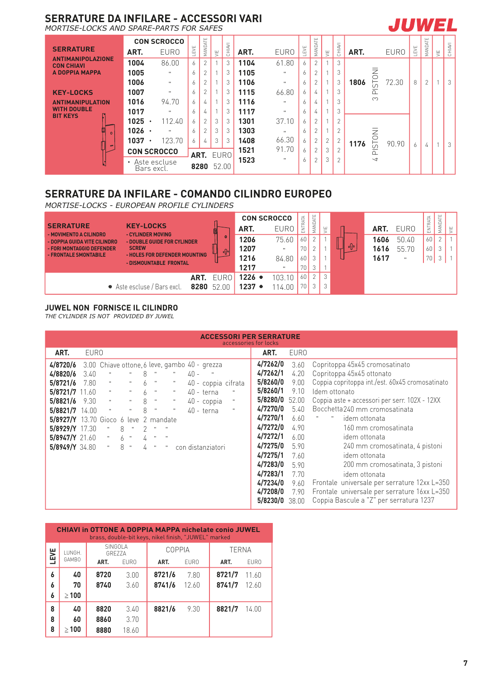#### **SERRATURE DA INFILARE - ACCESSORI VARI**

*MORTISE-LOCKS AND SPARE-PARTS FOR SAFES*

|                                               |                         | <b>CON SCROCCO</b> |      |                |   |        |      |              |     |                |                |               |      |                          |             |     |               |   |        |
|-----------------------------------------------|-------------------------|--------------------|------|----------------|---|--------|------|--------------|-----|----------------|----------------|---------------|------|--------------------------|-------------|-----|---------------|---|--------|
| <b>SERRATURE</b>                              | ART.                    | <b>EURO</b>        | LEVE | MANDATE        | ≝ | CHIAVI | ART. | <b>EURO</b>  | EVE | MANDATE        | 買              | CHIAVI        | ART. |                          | <b>EURO</b> | EVE | MANDATE       | ₩ | CHIAVI |
| <b>ANTIMANIPOLAZIONE</b><br><b>CON CHIAVI</b> | 1004                    | 86.00              | 6    | $\overline{2}$ |   | 3      | 1104 | 61.80        | 6   | $\overline{2}$ |                | 3             |      |                          |             |     |               |   |        |
| A DOPPIA MAPPA                                | 1005                    | $\mathbf{u}$       | 6    | $\overline{2}$ |   | 3      | 1105 | $\mathbf{H}$ | 6   | $\overline{2}$ |                | 3             |      |                          |             |     |               |   |        |
|                                               | 1006                    | $\mathbf{u}$       | 6    | 2              |   | 3      | 1106 | $\mathbf{H}$ | 6   | $\overline{2}$ |                | 3             | 1806 | <b>INOLSI</b>            | 72.30       | 8   | $\mathcal{P}$ |   | 3      |
| <b>KEY-LOCKS</b>                              | 1007                    | $\mathbf{u}$       | 6    | 2              |   | 3      | 1115 | 66.80        | 6   | 4              |                | 3             |      | $\Delta$                 |             |     |               |   |        |
| <b>ANTIMANIPULATION</b>                       | 1016                    | 94.70              | 6    | 4              |   | 3      | 1116 | $\mathbf{H}$ | 6   | 4              | <b>A</b>       | 3             |      | ന                        |             |     |               |   |        |
| <b>WITH DOUBLE</b><br><b>BIT KEYS</b>         | 1017                    | $\mathbf{u}$       | 6    | 4              |   | 3      | 1117 | $\mathbf{H}$ | 6   | 4              |                | 3             |      |                          |             |     |               |   |        |
|                                               | 1025                    | 112.40             | 6    | $\overline{2}$ | 3 | 3      | 1301 | 37.10        | 6   | $\overline{2}$ |                | $\bigcap$     |      |                          |             |     |               |   |        |
| 創<br>$\Omega$                                 | 1026                    | $\mathbf{u}$       | 6    | 2              | 3 | 3      | 1303 | $\mathbf{u}$ | 6   | $\overline{2}$ |                | $\mathcal{L}$ |      |                          |             |     |               |   |        |
| $\Rightarrow$                                 | 1037                    | 123.70             | 6    | 4              | 3 | 3      | 1408 | 66.30        | 6   | $\overline{2}$ | $\overline{2}$ | $\sim$        | 1176 | <b>INOZS</b>             | 90.90       | 6   | 厶             |   | -3     |
|                                               |                         | <b>CON SCROCCO</b> |      | ART. EURO      |   |        | 1521 | 91.70        | 6   | $\overline{2}$ | 3              |               |      | $\Omega$                 |             |     |               |   |        |
|                                               | $\bullet$<br>Bars excl. | Aste escluse       |      | 8280           |   | 52.00  | 1523 | $\mathbf{H}$ | 6   | $\mathcal{P}$  | 3              |               |      | $\overline{\phantom{a}}$ |             |     |               |   |        |

#### **SERRATURE DA INFILARE - COMANDO CILINDRO EUROPEO**

*MORTISE-LOCKS - EUROPEAN PROFILE CYLINDERS*

| <b>SERRATURE</b><br><b>KEY-LOCKS</b><br>- CYLINDER MOVING<br>- MOVIMENTO A CILINDRO |                                                         |                   | ART.             | <b>CON SCROCCO</b><br><b>EURO</b> | ∢<br>냥<br>Ë | <b>ATE</b><br>MANE | ш<br>$\leq$   |         | ART. | <b>EURO</b>  | $\prec$<br>늏<br><b>NTR</b><br>ш | ш<br>₹<br>MAND, |  |
|-------------------------------------------------------------------------------------|---------------------------------------------------------|-------------------|------------------|-----------------------------------|-------------|--------------------|---------------|---------|------|--------------|---------------------------------|-----------------|--|
| - DOPPIA GUIDA VITE CILINDRO                                                        | - DOUBLE GUIDE FOR CYLINDER                             | ٥                 | 1206             | 75.60                             | 60          |                    |               |         | 1606 | 50.40        | 60                              |                 |  |
| <b>SCREW</b><br>- FORI MONTAGGIO DEFENDER                                           |                                                         | -ဂါ               | 1207             | п.                                | 70          |                    |               | $\circ$ | 1616 | 55.70        | 60                              |                 |  |
| - FRONTALE SMONTABILE                                                               | - HOLES FOR DEFENDER MOUNTING<br>- DISMOUNTABLE FRONTAL |                   | 1216             | 84.80                             | 60          |                    |               |         | 1617 | $\mathbf{u}$ | 70                              |                 |  |
|                                                                                     |                                                         |                   | 1217             |                                   | 70.         |                    |               |         |      |              |                                 |                 |  |
|                                                                                     |                                                         | <b>ART.</b> EUROL | $1226$ $\bullet$ | 103.10                            | 60          |                    | $\mathcal{S}$ |         |      |              |                                 |                 |  |
| • Aste escluse / Bars excl.                                                         |                                                         | 8280 52.00        | $1237$ $\bullet$ | 14.00                             | 70          |                    |               |         |      |              |                                 |                 |  |

#### **JUWEL NON FORNISCE IL CILINDRO**

*THE CYLINDER IS NOT PROVIDED BY JUWEL* 

|                                                                                                                                                                         | <b>ACCESSORI PER SERRATURE</b><br>accessories for locks |                                                                                                                                                                                                    |                                                                                                                              |                                      |                                                                                                                                                        |                                                                                                            |        |                                                                                                         |                   |  |                                                                                                                                                                                              |  |                                                                                                                                 |                                                                                                                                                                                                                                                                                                                                                                                                                                                                                                                                                 |
|-------------------------------------------------------------------------------------------------------------------------------------------------------------------------|---------------------------------------------------------|----------------------------------------------------------------------------------------------------------------------------------------------------------------------------------------------------|------------------------------------------------------------------------------------------------------------------------------|--------------------------------------|--------------------------------------------------------------------------------------------------------------------------------------------------------|------------------------------------------------------------------------------------------------------------|--------|---------------------------------------------------------------------------------------------------------|-------------------|--|----------------------------------------------------------------------------------------------------------------------------------------------------------------------------------------------|--|---------------------------------------------------------------------------------------------------------------------------------|-------------------------------------------------------------------------------------------------------------------------------------------------------------------------------------------------------------------------------------------------------------------------------------------------------------------------------------------------------------------------------------------------------------------------------------------------------------------------------------------------------------------------------------------------|
| ART.                                                                                                                                                                    | <b>EURO</b>                                             |                                                                                                                                                                                                    |                                                                                                                              |                                      |                                                                                                                                                        |                                                                                                            |        |                                                                                                         |                   |  | ART.                                                                                                                                                                                         |  | <b>EURO</b>                                                                                                                     |                                                                                                                                                                                                                                                                                                                                                                                                                                                                                                                                                 |
| 4/8720/6<br>4/8820/6<br>5/8721/6<br>$5/8721/7$ 11.60<br>5/8821/6<br>5/8821/7<br>5/8927/Y 13.70 Gioco 6 leve<br>$5/8929/Y$ 17.30<br>$5/8947/Y$ 21.60<br>$5/8949/Y$ 34.80 | 3.40<br>7.80<br>9.30<br>14.00                           | 3.00 Chiave ottone, 6 leve, gambo 40 - grezza<br>$\mathbf{u}$<br>$\mathbf{H}$<br>$\mathbf{u}$<br>$\mathbf{u}$<br>$\mathbf{u}$<br>8<br>$\mathbf{u}$<br>$\Omega_{\rm c}$<br>6<br>8<br>$\mathbf{H}$ . | $\mathbf{u}$<br>$\mathbf{u}$<br>$\mathbf{u}$<br>$\mathbf{H}$<br>$\mathbf{u}$<br>$\mathbf{H}$<br>$\mathbf{u}$<br>$\mathbf{u}$ | 8<br>6<br>6<br>8<br>8<br>2<br>4<br>4 | $\mathbf{u}$<br>$\mathbf{u}$<br>$\mathbf{u}$<br>$\mathbf{u}$<br>$\boldsymbol{\mathsf{u}}$<br>2 mandate<br>$\mathbf{H}$<br>$\mathbf{u}$<br>$\mathbf{u}$ | $\mathbf{H}$<br>$\mathbf{u}_\parallel$<br>$\mathbf{H}$ .<br>$\mathbf{H}$ .<br>$\mathbf{H}$<br>$\mathbf{u}$ | $40 -$ | 40 - coppia cifrata<br>$40 - \text{terna}$<br>$40$ - coppia<br>$40 - \text{terna}$<br>con distanziatori | $\mathbf{H}$<br>× |  | 4/7262/0<br>4/7262/1<br>5/8260/0<br>5/8260/1<br>5/8280/0<br>4/7270/0<br>4/7270/1<br>4/7272/0<br>4/7272/1<br>4/7275/0<br>4/7275/1<br>4/7283/0<br>4/7283/1<br>4/7234/0<br>4/7208/0<br>5/8230/0 |  | 3.60<br>4.20<br>9.00<br>9.10<br>52.00<br>5.40<br>6.60<br>4.90<br>6.00.<br>5.90<br>7.60<br>5.90<br>7.70<br>9.60<br>7.90<br>38.00 | Copritoppa 45x45 cromosatinato<br>Copritoppa 45x45 ottonato<br>Coppia copritoppa int./est. 60x45 cromosatinato<br>Idem ottonato<br>Coppia aste + accessori per serr. 102X - 12XX<br>Bocchetta 240 mm cromosatinata<br>$\mathbf{u}$<br>idem ottonata<br>160 mm cromosatinata<br>idem ottonata<br>240 mm cromosatinata, 4 pistoni<br>idem ottonata<br>200 mm cromosatinata, 3 pistoni<br>idem ottonata<br>Frontale universale per serrature 12xx L=350<br>Frontale universale per serrature 16xx L=350<br>Coppia Bascule a "Z" per serratura 1237 |

|             |            |                    |             | <b>CHIAVI in OTTONE A DOPPIA MAPPA nichelate conio JUWEL</b><br>brass, double-bit keys, nikel finish, "JUWEL" marked |             |              |             |
|-------------|------------|--------------------|-------------|----------------------------------------------------------------------------------------------------------------------|-------------|--------------|-------------|
| <b>TEXE</b> | LUNGH.     | SINGOI A<br>GRF77A |             | <b>COPPIA</b>                                                                                                        |             | <b>TERNA</b> |             |
|             | GAMBO      | ART.               | <b>FURO</b> | ART.                                                                                                                 | <b>FURO</b> | ART.         | <b>EURO</b> |
| 6           | 40         | 8720               | 3.00        | 8721/6                                                                                                               | 7.80        | 8721/7       | 11.60       |
| 6           | 70         | 8740               | 3.60        | 8741/6                                                                                                               | 12.60       | 8741/7       | 12.60       |
| 6           | $\geq 100$ |                    |             |                                                                                                                      |             |              |             |
| 8           | 40         | 8820               | 3.40        | 8821/6                                                                                                               | 9.30        | 8821/7       | 14.00       |
| 8           | 60         | 8860               | 3.70        |                                                                                                                      |             |              |             |
| 8           | $\geq 100$ | 8880               | 18.60       |                                                                                                                      |             |              |             |

**JUWEL**